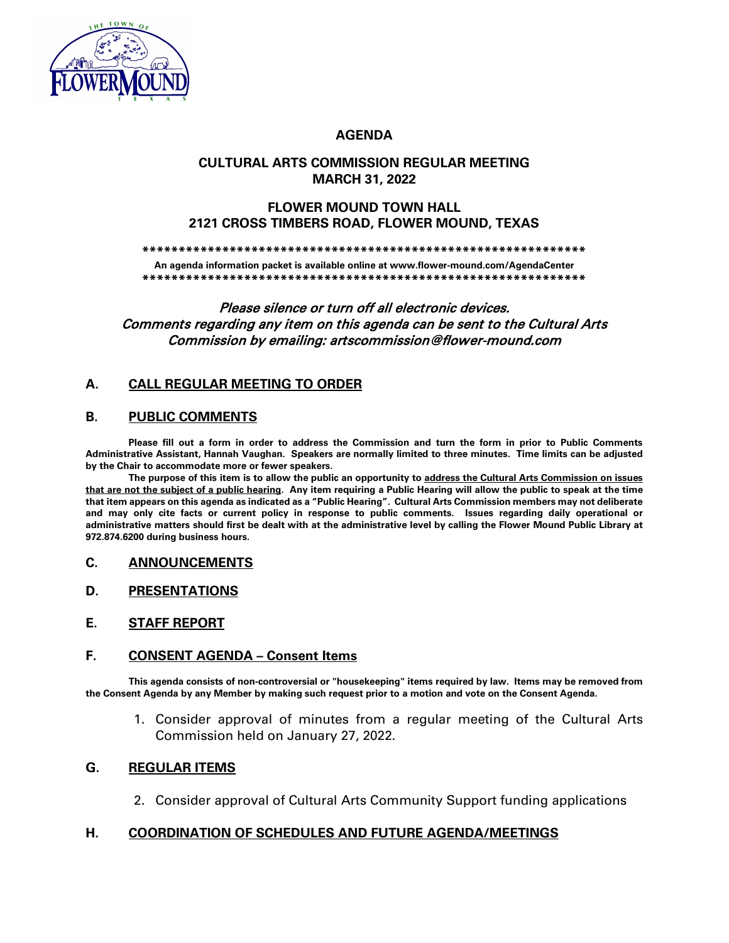

# **AGENDA**

# **CULTURAL ARTS COMMISSION REGULAR MEETING MARCH 31, 2022**

## **FLOWER MOUND TOWN HALL 2121 CROSS TIMBERS ROAD, FLOWER MOUND, TEXAS**

**\*\*\*\*\*\*\*\*\*\*\*\*\*\*\*\*\*\*\*\*\*\*\*\*\*\*\*\*\*\*\*\*\*\*\*\*\*\*\*\*\*\*\*\*\*\*\*\*\*\*\*\*\*\*\*\*\*\*\*\*\***

**An agenda information packet is available online at www.flower-mound.com/AgendaCenter \*\*\*\*\*\*\*\*\*\*\*\*\*\*\*\*\*\*\*\*\*\*\*\*\*\*\*\*\*\*\*\*\*\*\*\*\*\*\*\*\*\*\*\*\*\*\*\*\*\*\*\*\*\*\*\*\*\*\*\*\***

Please silence or turn off all electronic devices. Comments regarding any item on this agenda can be sent to the Cultural Arts Commission by emailing: artscommission@flower-mound.com

# **A. CALL REGULAR MEETING TO ORDER**

## **B. PUBLIC COMMENTS**

**Please fill out a form in order to address the Commission and turn the form in prior to Public Comments Administrative Assistant, Hannah Vaughan. Speakers are normally limited to three minutes. Time limits can be adjusted by the Chair to accommodate more or fewer speakers.** 

**The purpose of this item is to allow the public an opportunity to address the Cultural Arts Commission on issues that are not the subject of a public hearing. Any item requiring a Public Hearing will allow the public to speak at the time that item appears on this agenda as indicated as a "Public Hearing". Cultural Arts Commission members may not deliberate and may only cite facts or current policy in response to public comments. Issues regarding daily operational or administrative matters should first be dealt with at the administrative level by calling the Flower Mound Public Library at 972.874.6200 during business hours.**

#### **C. ANNOUNCEMENTS**

- **D. PRESENTATIONS**
- **E. STAFF REPORT**

## **F. CONSENT AGENDA – Consent Items**

**This agenda consists of non-controversial or "housekeeping" items required by law. Items may be removed from the Consent Agenda by any Member by making such request prior to a motion and vote on the Consent Agenda.**

1. Consider approval of minutes from a regular meeting of the Cultural Arts Commission held on January 27, 2022.

#### **G. REGULAR ITEMS**

2. Consider approval of Cultural Arts Community Support funding applications

# **H. COORDINATION OF SCHEDULES AND FUTURE AGENDA/MEETINGS**